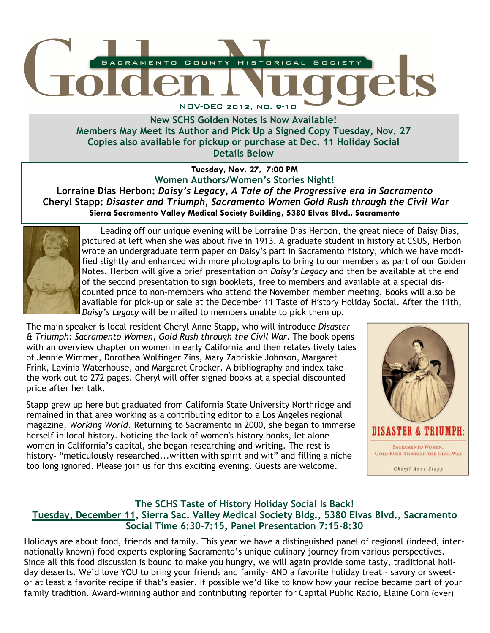

New SCHS Golden Notes Is Now Available! Members May Meet Its Author and Pick Up a Signed Copy Tuesday, Nov. 27 Copies also available for pickup or purchase at Dec. 11 Holiday Social Details Below

Tuesday, Nov. 27, 7:00 PM Women Authors/Women's Stories Night! Lorraine Dias Herbon: Daisy's Legacy, A Tale of the Progressive era in Sacramento Cheryl Stapp: Disaster and Triumph, Sacramento Women Gold Rush through the Civil War Sierra Sacramento Valley Medical Society Building, 5380 Elvas Blvd., Sacramento



 Leading off our unique evening will be Lorraine Dias Herbon, the great niece of Daisy Dias, pictured at left when she was about five in 1913. A graduate student in history at CSUS, Herbon wrote an undergraduate term paper on Daisy's part in Sacramento history, which we have modified slightly and enhanced with more photographs to bring to our members as part of our Golden Notes. Herbon will give a brief presentation on *Daisy's Legacy* and then be available at the end of the second presentation to sign booklets, free to members and available at a special discounted price to non-members who attend the November member meeting. Books will also be available for pick-up or sale at the December 11 Taste of History Holiday Social. After the 11th, Daisy's Legacy will be mailed to members unable to pick them up.

The main speaker is local resident Cheryl Anne Stapp, who will introduce Disaster & Triumph: Sacramento Women, Gold Rush through the Civil War. The book opens with an overview chapter on women in early California and then relates lively tales of Jennie Wimmer, Dorothea Wolfinger Zins, Mary Zabriskie Johnson, Margaret Frink, Lavinia Waterhouse, and Margaret Crocker. A bibliography and index take the work out to 272 pages. Cheryl will offer signed books at a special discounted price after her talk.

Stapp grew up here but graduated from California State University Northridge and remained in that area working as a contributing editor to a Los Angeles regional magazine, Working World. Returning to Sacramento in 2000, she began to immerse herself in local history. Noticing the lack of women's history books, let alone women in California's capital, she began researching and writing. The rest is history- "meticulously researched...written with spirit and wit" and filling a niche too long ignored. Please join us for this exciting evening. Guests are welcome.



## The SCHS Taste of History Holiday Social Is Back! Tuesday, December 11, Sierra Sac. Valley Medical Society Bldg., 5380 Elvas Blvd., Sacramento Social Time 6:30-7:15, Panel Presentation 7:15-8:30

, Holidays are about food, friends and family. This year we have a distinguished panel of regional (indeed, internationally known) food experts exploring Sacramento's unique culinary journey from various perspectives. Since all this food discussion is bound to make you hungry, we will again provide some tasty, traditional holiday desserts. We'd love YOU to bring your friends and family– AND a favorite holiday treat – savory or sweetor at least a favorite recipe if that's easier. If possible we'd like to know how your recipe became part of your family tradition. Award-winning author and contributing reporter for Capital Public Radio, Elaine Corn (over)